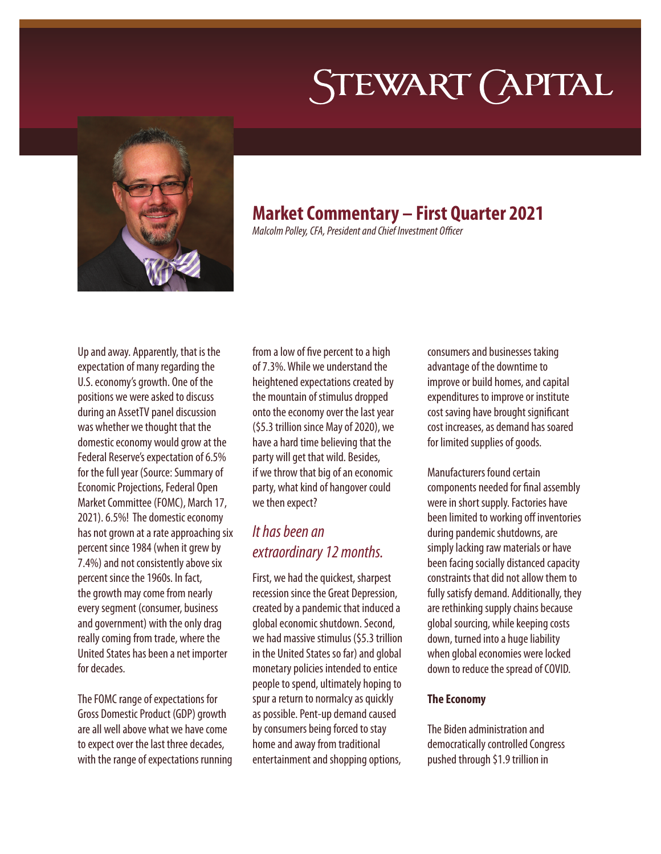# STEWART (APITAL



## **Market Commentary – First Quarter 2021**

*Malcolm Polley, CFA, President and Chief Investment Officer*

Up and away. Apparently, that is the expectation of many regarding the U.S. economy's growth. One of the positions we were asked to discuss during an AssetTV panel discussion was whether we thought that the domestic economy would grow at the Federal Reserve's expectation of 6.5% for the full year (Source: Summary of Economic Projections, Federal Open Market Committee (FOMC), March 17, 2021). 6.5%! The domestic economy has not grown at a rate approaching six percent since 1984 (when it grew by 7.4%) and not consistently above six percent since the 1960s. In fact, the growth may come from nearly every segment (consumer, business and government) with the only drag really coming from trade, where the United States has been a net importer for decades.

The FOMC range of expectations for Gross Domestic Product (GDP) growth are all well above what we have come to expect over the last three decades, with the range of expectations running from a low of five percent to a high of 7.3%. While we understand the heightened expectations created by the mountain of stimulus dropped onto the economy over the last year (\$5.3 trillion since May of 2020), we have a hard time believing that the party will get that wild. Besides, if we throw that big of an economic party, what kind of hangover could we then expect?

## *It has been an extraordinary 12 months.*

First, we had the quickest, sharpest recession since the Great Depression, created by a pandemic that induced a global economic shutdown. Second, we had massive stimulus (\$5.3 trillion in the United States so far) and global monetary policies intended to entice people to spend, ultimately hoping to spur a return to normalcy as quickly as possible. Pent-up demand caused by consumers being forced to stay home and away from traditional entertainment and shopping options,

consumers and businesses taking advantage of the downtime to improve or build homes, and capital expenditures to improve or institute cost saving have brought significant cost increases, as demand has soared for limited supplies of goods.

Manufacturers found certain components needed for final assembly were in short supply. Factories have been limited to working off inventories during pandemic shutdowns, are simply lacking raw materials or have been facing socially distanced capacity constraints that did not allow them to fully satisfy demand. Additionally, they are rethinking supply chains because global sourcing, while keeping costs down, turned into a huge liability when global economies were locked down to reduce the spread of COVID.

## **The Economy**

The Biden administration and democratically controlled Congress pushed through \$1.9 trillion in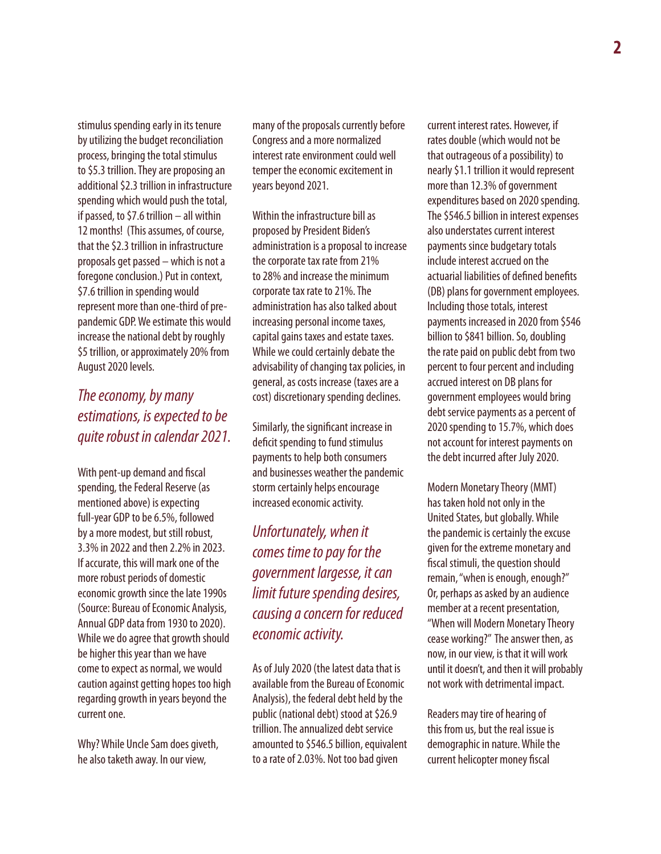stimulus spending early in its tenure by utilizing the budget reconciliation process, bringing the total stimulus to \$5.3 trillion. They are proposing an additional \$2.3 trillion in infrastructure spending which would push the total, if passed, to \$7.6 trillion – all within 12 months! (This assumes, of course, that the \$2.3 trillion in infrastructure proposals get passed – which is not a foregone conclusion.) Put in context, \$7.6 trillion in spending would represent more than one-third of prepandemic GDP. We estimate this would increase the national debt by roughly \$5 trillion, or approximately 20% from August 2020 levels.

## *The economy, by many estimations, is expected to be quite robust in calendar 2021.*

With pent-up demand and fiscal spending, the Federal Reserve (as mentioned above) is expecting full-year GDP to be 6.5%, followed by a more modest, but still robust, 3.3% in 2022 and then 2.2% in 2023. If accurate, this will mark one of the more robust periods of domestic economic growth since the late 1990s (Source: Bureau of Economic Analysis, Annual GDP data from 1930 to 2020). While we do agree that growth should be higher this year than we have come to expect as normal, we would caution against getting hopes too high regarding growth in years beyond the current one.

Why? While Uncle Sam does giveth, he also taketh away. In our view,

many of the proposals currently before Congress and a more normalized interest rate environment could well temper the economic excitement in years beyond 2021.

Within the infrastructure bill as proposed by President Biden's administration is a proposal to increase the corporate tax rate from 21% to 28% and increase the minimum corporate tax rate to 21%. The administration has also talked about increasing personal income taxes, capital gains taxes and estate taxes. While we could certainly debate the advisability of changing tax policies, in general, as costs increase (taxes are a cost) discretionary spending declines.

Similarly, the significant increase in deficit spending to fund stimulus payments to help both consumers and businesses weather the pandemic storm certainly helps encourage increased economic activity.

*Unfortunately, when it comes time to pay for the government largesse, it can limit future spending desires, causing a concern for reduced economic activity.*

As of July 2020 (the latest data that is available from the Bureau of Economic Analysis), the federal debt held by the public (national debt) stood at \$26.9 trillion. The annualized debt service amounted to \$546.5 billion, equivalent to a rate of 2.03%. Not too bad given

current interest rates. However, if rates double (which would not be that outrageous of a possibility) to nearly \$1.1 trillion it would represent more than 12.3% of government expenditures based on 2020 spending. The \$546.5 billion in interest expenses also understates current interest payments since budgetary totals include interest accrued on the actuarial liabilities of defined benefits (DB) plans for government employees. Including those totals, interest payments increased in 2020 from \$546 billion to \$841 billion. So, doubling the rate paid on public debt from two percent to four percent and including accrued interest on DB plans for government employees would bring debt service payments as a percent of 2020 spending to 15.7%, which does not account for interest payments on the debt incurred after July 2020.

Modern Monetary Theory (MMT) has taken hold not only in the United States, but globally. While the pandemic is certainly the excuse given for the extreme monetary and fiscal stimuli, the question should remain, "when is enough, enough?" Or, perhaps as asked by an audience member at a recent presentation, "When will Modern Monetary Theory cease working?" The answer then, as now, in our view, is that it will work until it doesn't, and then it will probably not work with detrimental impact.

Readers may tire of hearing of this from us, but the real issue is demographic in nature. While the current helicopter money fiscal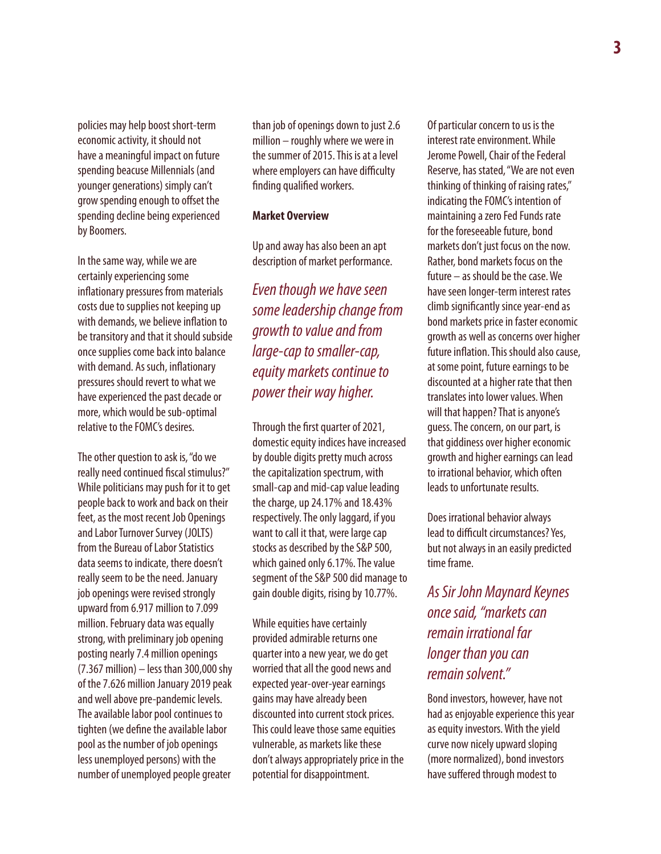policies may help boost short-term economic activity, it should not have a meaningful impact on future spending beacuse Millennials (and younger generations) simply can't grow spending enough to offset the spending decline being experienced by Boomers.

In the same way, while we are certainly experiencing some inflationary pressures from materials costs due to supplies not keeping up with demands, we believe inflation to be transitory and that it should subside once supplies come back into balance with demand. As such, inflationary pressures should revert to what we have experienced the past decade or more, which would be sub-optimal relative to the FOMC's desires.

The other question to ask is, "do we really need continued fiscal stimulus?" While politicians may push for it to get people back to work and back on their feet, as the most recent Job Openings and Labor Turnover Survey (JOLTS) from the Bureau of Labor Statistics data seems to indicate, there doesn't really seem to be the need. January job openings were revised strongly upward from 6.917 million to 7.099 million. February data was equally strong, with preliminary job opening posting nearly 7.4 million openings (7.367 million) – less than 300,000 shy of the 7.626 million January 2019 peak and well above pre-pandemic levels. The available labor pool continues to tighten (we define the available labor pool as the number of job openings less unemployed persons) with the number of unemployed people greater

than job of openings down to just 2.6 million – roughly where we were in the summer of 2015. This is at a level where employers can have difficulty finding qualified workers.

### **Market Overview**

Up and away has also been an apt description of market performance.

*Even though we have seen some leadership change from growth to value and from large-cap to smaller-cap, equity markets continue to power their way higher.*

Through the first quarter of 2021, domestic equity indices have increased by double digits pretty much across the capitalization spectrum, with small-cap and mid-cap value leading the charge, up 24.17% and 18.43% respectively. The only laggard, if you want to call it that, were large cap stocks as described by the S&P 500, which gained only 6.17%. The value segment of the S&P 500 did manage to gain double digits, rising by 10.77%.

While equities have certainly provided admirable returns one quarter into a new year, we do get worried that all the good news and expected year-over-year earnings gains may have already been discounted into current stock prices. This could leave those same equities vulnerable, as markets like these don't always appropriately price in the potential for disappointment.

Of particular concern to us is the interest rate environment. While Jerome Powell, Chair of the Federal Reserve, has stated, "We are not even thinking of thinking of raising rates," indicating the FOMC's intention of maintaining a zero Fed Funds rate for the foreseeable future, bond markets don't just focus on the now. Rather, bond markets focus on the future – as should be the case. We have seen longer-term interest rates climb significantly since year-end as bond markets price in faster economic growth as well as concerns over higher future inflation. This should also cause, at some point, future earnings to be discounted at a higher rate that then translates into lower values. When will that happen? That is anyone's guess. The concern, on our part, is that giddiness over higher economic growth and higher earnings can lead to irrational behavior, which often leads to unfortunate results.

Does irrational behavior always lead to difficult circumstances? Yes, but not always in an easily predicted time frame.

*As Sir John Maynard Keynes once said, "markets can remain irrational far longer than you can remain solvent."*

Bond investors, however, have not had as enjoyable experience this year as equity investors. With the yield curve now nicely upward sloping (more normalized), bond investors have suffered through modest to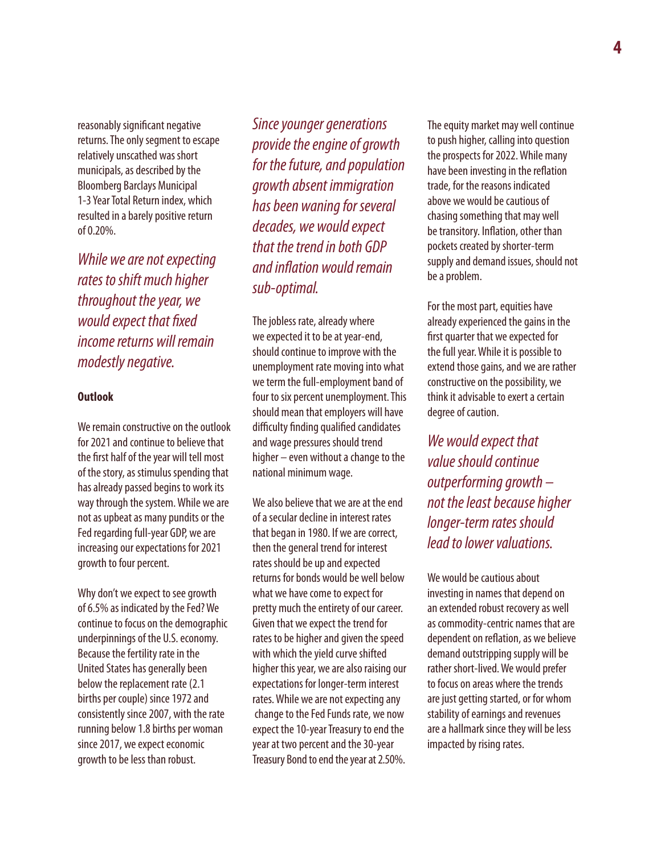reasonably significant negative returns. The only segment to escape relatively unscathed was short municipals, as described by the Bloomberg Barclays Municipal 1-3 Year Total Return index, which resulted in a barely positive return of 0.20%.

*While we are not expecting rates to shift much higher throughout the year, we would expect that fixed income returns will remain modestly negative.*

#### **Outlook**

We remain constructive on the outlook for 2021 and continue to believe that the first half of the year will tell most of the story, as stimulus spending that has already passed begins to work its way through the system. While we are not as upbeat as many pundits or the Fed regarding full-year GDP, we are increasing our expectations for 2021 growth to four percent.

Why don't we expect to see growth of 6.5% as indicated by the Fed? We continue to focus on the demographic underpinnings of the U.S. economy. Because the fertility rate in the United States has generally been below the replacement rate (2.1 births per couple) since 1972 and consistently since 2007, with the rate running below 1.8 births per woman since 2017, we expect economic growth to be less than robust.

*Since younger generations provide the engine of growth for the future, and population growth absent immigration has been waning for several decades, we would expect that the trend in both GDP and inflation would remain sub-optimal.*

The jobless rate, already where we expected it to be at year-end, should continue to improve with the unemployment rate moving into what we term the full-employment band of four to six percent unemployment. This should mean that employers will have difficulty finding qualified candidates and wage pressures should trend higher – even without a change to the national minimum wage.

We also believe that we are at the end of a secular decline in interest rates that began in 1980. If we are correct, then the general trend for interest rates should be up and expected returns for bonds would be well below what we have come to expect for pretty much the entirety of our career. Given that we expect the trend for rates to be higher and given the speed with which the yield curve shifted higher this year, we are also raising our expectations for longer-term interest rates. While we are not expecting any change to the Fed Funds rate, we now expect the 10-year Treasury to end the year at two percent and the 30-year Treasury Bond to end the year at 2.50%.

The equity market may well continue to push higher, calling into question the prospects for 2022. While many have been investing in the reflation trade, for the reasons indicated above we would be cautious of chasing something that may well be transitory. Inflation, other than pockets created by shorter-term supply and demand issues, should not be a problem.

For the most part, equities have already experienced the gains in the first quarter that we expected for the full year. While it is possible to extend those gains, and we are rather constructive on the possibility, we think it advisable to exert a certain degree of caution.

*We would expect that value should continue outperforming growth – not the least because higher longer-term rates should lead to lower valuations.* 

We would be cautious about investing in names that depend on an extended robust recovery as well as commodity-centric names that are dependent on reflation, as we believe demand outstripping supply will be rather short-lived. We would prefer to focus on areas where the trends are just getting started, or for whom stability of earnings and revenues are a hallmark since they will be less impacted by rising rates.